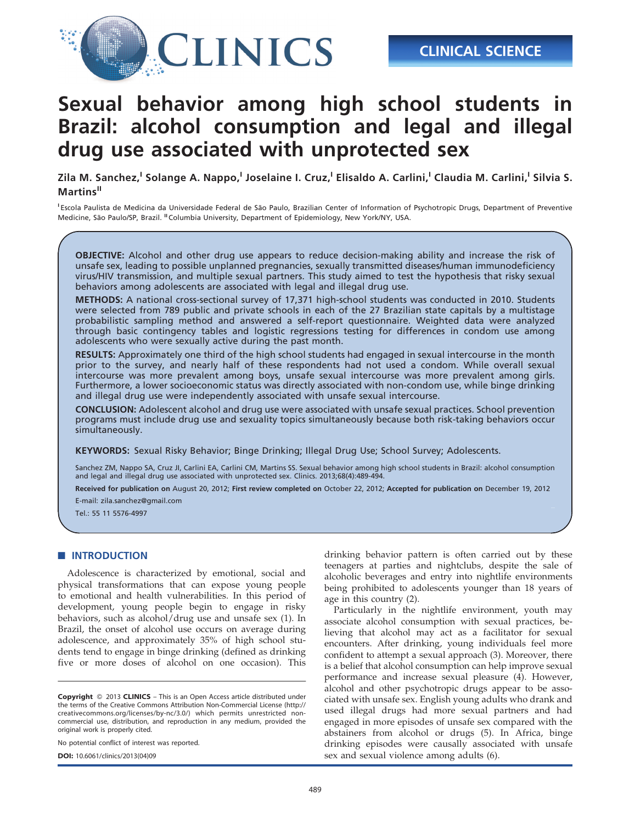

# Sexual behavior among high school students in Brazil: alcohol consumption and legal and illegal drug use associated with unprotected sex

Zila M. Sanchez,<sup>I</sup> Solange A. Nappo,<sup>I</sup> Joselaine I. Cruz,<sup>I</sup> Elisaldo A. Carlini,<sup>I</sup> Claudia M. Carlini,<sup>I</sup> Silvia S. Martins<sup>II</sup>

<sup>I</sup> Escola Paulista de Medicina da Universidade Federal de São Paulo, Brazilian Center of Information of Psychotropic Drugs, Department of Preventive Medicine, São Paulo/SP, Brazil. <sup>II</sup> Columbia University, Department of Epidemiology, New York/NY, USA.

OBJECTIVE: Alcohol and other drug use appears to reduce decision-making ability and increase the risk of unsafe sex, leading to possible unplanned pregnancies, sexually transmitted diseases/human immunodeficiency virus/HIV transmission, and multiple sexual partners. This study aimed to test the hypothesis that risky sexual behaviors among adolescents are associated with legal and illegal drug use.

METHODS: A national cross-sectional survey of 17,371 high-school students was conducted in 2010. Students were selected from 789 public and private schools in each of the 27 Brazilian state capitals by a multistage probabilistic sampling method and answered a self-report questionnaire. Weighted data were analyzed through basic contingency tables and logistic regressions testing for differences in condom use among adolescents who were sexually active during the past month.

RESULTS: Approximately one third of the high school students had engaged in sexual intercourse in the month prior to the survey, and nearly half of these respondents had not used a condom. While overall sexual intercourse was more prevalent among boys, unsafe sexual intercourse was more prevalent among girls. Furthermore, a lower socioeconomic status was directly associated with non-condom use, while binge drinking and illegal drug use were independently associated with unsafe sexual intercourse.

CONCLUSION: Adolescent alcohol and drug use were associated with unsafe sexual practices. School prevention programs must include drug use and sexuality topics simultaneously because both risk-taking behaviors occur simultaneously.

KEYWORDS: Sexual Risky Behavior; Binge Drinking; Illegal Drug Use; School Survey; Adolescents.

Sanchez ZM, Nappo SA, Cruz JI, Carlini EA, Carlini CM, Martins SS. Sexual behavior among high school students in Brazil: alcohol consumption<br>and legal and illegal drug use associated with unprotected sex. Clinics. 2013;68(

Received for publication on August 20, 2012; First review completed on October 22, 2012; Accepted for publication on December 19, 2012 E-mail: zila.sanchez@gmail.com

Tel.: 55 11 5576-4997

# **NUMBER** INTRODUCTION

Adolescence is characterized by emotional, social and physical transformations that can expose young people to emot[ional and health vulnerabilities. In this period of](#page-4-0) develop[ment, young people begin to engage in risky](#page-4-0) behavio[rs, such as alcohol/drug use and unsafe sex \(1\). In](#page-4-0) Brazil, t[he onset of alcohol use occurs on average during](#page-4-0) adolescence, and approximately 35% of high school students tend to engage in binge drinking (defined as drinking five or more doses of alcohol on one occasion). This

Copyright © 2013 CLINICS - This is an Open Access article distributed under the terms of the Creative Commons Attribution Non-Commercial License (http:// creativecommons.org/licenses/by-nc/3.0/) which permits unrestricted noncommercial use, distribution, and reproduction in any medium, provided the original work is properly cited.

No potential conflict of interest was reported.

DOI: 10.6061/clinics/2013(04)09

drinkin[g behavior pattern is often carried out by these](#page-4-0) teenager[s at parties and nigh](#page-4-0)tclubs, despite the sale of [alcoh](#page-4-0)olic beverages and entry into nightlife environments being prohibited to adolescents younger than 18 years of age in this country (2).

Particularly in the nightlife environment, youth may associate alcohol consumption with sexual pr[actices, be](#page-4-0)lieving [that alcohol may act as a facilitator for sexual](#page-4-0) encount[ers. After drinking, young individuals feel more](#page-4-0) confide[nt to attempt a sexual approach \(3\). Moreover, there](#page-4-0) is a belie[f that alcohol consumption can help improve sexual](#page-4-0) perform[ance and increase sexual pleasure \(4\). However,](#page-4-0) alcohol [and other psychotropic drugs appear to be asso](#page-4-0)ciated w[ith unsafe sex. English young adults who drank and](#page-5-0) used ill[egal drugs had more sexual partners and had](#page-5-0) engaged [in more episodes of unsafe sex compared](#page-5-0) with the abstainers from alcohol or drugs (5). In Africa, binge drinking episodes were causally associated with unsafe sex and sexual violence among adults (6).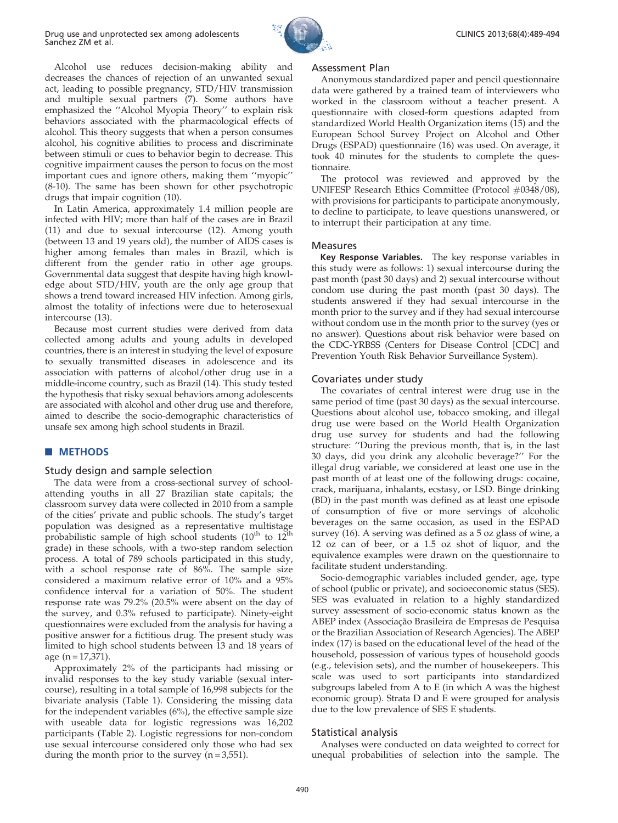

Alcohol use reduces decision-maki[ng](#page-5-0) [ability](#page-5-0) [and](#page-5-0) decrease[s](#page-5-0) [the](#page-5-0) [chances](#page-5-0) [of](#page-5-0) [rejection](#page-5-0) [of](#page-5-0) [an](#page-5-0) [unwanted](#page-5-0) [sexual](#page-5-0) act, lead[ing](#page-5-0) [to](#page-5-0) [possible](#page-5-0) [pregnancy,](#page-5-0) [STD/HIV](#page-5-0) [transmission](#page-5-0) and m[ultiple](#page-5-0) [sexual](#page-5-0) [partners](#page-5-0) [\(7\).](#page-5-0) [Some](#page-5-0) [authors](#page-5-0) [have](#page-5-0) emphasi[zed the ''Alcohol Myopia Theory'' to explain risk](#page-5-0) behavio[rs](#page-5-0) [associated](#page-5-0) [with](#page-5-0) [the](#page-5-0) [pharmacological](#page-5-0) [effects](#page-5-0) [of](#page-5-0) alcohol. [This](#page-5-0) [theory](#page-5-0) [suggests](#page-5-0) [that](#page-5-0) [when](#page-5-0) [a](#page-5-0) [person](#page-5-0) [consumes](#page-5-0) alcohol, [his](#page-5-0) [cognitive](#page-5-0) [abilities](#page-5-0) [to](#page-5-0) [process](#page-5-0) [and](#page-5-0) [discriminate](#page-5-0) between [stimuli](#page-5-0) [or](#page-5-0) [cues](#page-5-0) [to](#page-5-0) [behavior](#page-5-0) [begin](#page-5-0) [to](#page-5-0) [decrease.](#page-5-0) [This](#page-5-0) cognitiv[e](#page-5-0) [impairment](#page-5-0) [causes](#page-5-0) [the](#page-5-0) [person](#page-5-0) [to](#page-5-0) [f](#page-5-0)ocus on the most important cues and ignore others, making them ''myopic'' (8-10). The same has been shown for other psychotropic drugs th[at](#page-5-0) [impair](#page-5-0) [cognition](#page-5-0) [\(10\).](#page-5-0)

In Lat[in America, approximately 1.4 million people are](#page-5-0) infected [with](#page-5-0) [HIV;](#page-5-0) [more](#page-5-0) [than](#page-5-0) [half](#page-5-0) [of](#page-5-0) [the](#page-5-0) [cases](#page-5-0) [are](#page-5-0) [in](#page-5-0) [Brazil](#page-5-0) (11) an[d due to sexual intercourse \(12\). Among youth](#page-5-0) (betwee[n](#page-5-0) [13](#page-5-0) [and](#page-5-0) [19](#page-5-0) [years](#page-5-0) [old\),](#page-5-0) [the](#page-5-0) [number](#page-5-0) [of](#page-5-0) [AIDS](#page-5-0) [cases](#page-5-0) [is](#page-5-0) higher [among females than males in Brazil, which is](#page-5-0) different [from](#page-5-0) [the](#page-5-0) [gender](#page-5-0) [ratio](#page-5-0) [in](#page-5-0) [other](#page-5-0) [age](#page-5-0) [groups.](#page-5-0) Govern[mental data suggest that despite having high knowl](#page-5-0)edge ab[out](#page-5-0) [STD/HIV,](#page-5-0) [y](#page-5-0)outh are the only age group that shows a trend toward increased HIV infection. Among girls, almost the totality of infections were due to heterosexual intercourse (13).

Because most current studies were derived from data collected among adults and young adults in developed countries, there is an interest in studying the leve[l of exposure](#page-5-0) to sexu[ally](#page-5-0) [transmitted](#page-5-0) [diseases](#page-5-0) [in](#page-5-0) [adolescence](#page-5-0) [and](#page-5-0) [its](#page-5-0) associati[on with patterns of alcohol/other drug use in a](#page-5-0) middle-i[ncome](#page-5-0) [country,](#page-5-0) [such](#page-5-0) [as](#page-5-0) [Brazil](#page-5-0) [\(14\).](#page-5-0) [This](#page-5-0) [study](#page-5-0) [tested](#page-5-0) the hypo[thesis that risky sexual behaviors among adolesce](#page-5-0)nts are associated with alcohol and other drug use and therefore, aimed to describe the socio-demographic characteristics of unsafe sex among high school students in Brazil.

## **METHODS**

#### Study design and sample selection

The data were from a cross-sectional survey of schoolattending youths in all 27 Brazilian state capitals; the classroom survey data were collected in 2010 from a sample of the cities' private and public schools. The study's target population was designed as a representative multistage probabilistic sample of high school students  $(10^{th}$  to  $12^{th}$ grade) in these schools, with a two-step random selection process. A total of 789 schools participated in this study, with a school response rate of 86%. The sample size considered a maximum relative error of 10% and a 95% confidence interval for a variation of 50%. The student response rate was 79.2% (20.5% were absent on the day of the survey, and 0.3% refused to participate). Ninety-eight questionnaires were excluded from the analysis for having a positive answer for a fictitious drug. The present study was limited to high school students between 13 and 18 years of age  $(n = 17,371)$ .

Approximately 2% of t[he participants had missing or](#page-2-0) invalid [responses](#page-2-0) [to](#page-2-0) [the](#page-2-0) [key](#page-2-0) [study](#page-2-0) [variable](#page-2-0) [\(sexual](#page-2-0) [inter](#page-2-0)course), [resulting in a total sample of 16,998 subjects for the](#page-2-0) bivariat[e](#page-3-0) [analysis](#page-3-0) [\(Table](#page-3-0) [1\).](#page-3-0) [Considering](#page-3-0) [the](#page-3-0) [missing](#page-3-0) [data](#page-3-0) for the i[ndependent variables \(6%\), the effective sample size](#page-3-0) with us[eable](#page-3-0) [data](#page-3-0) [for](#page-3-0) [logistic](#page-3-0) [regressions](#page-3-0) [was](#page-3-0) [16,20](#page-3-0)2 participants (Table 2). Logistic regressions for non-condom use sexual intercourse considered only those who had sex during the month prior to the survey  $(n=3,551)$ .

#### Assessment Plan

Anonymous standardized paper and pencil questionnaire data were gathered by a trained team of interviewers [who](#page-5-0) worked [in the classroom without a teacher present. A](#page-5-0) question[naire](#page-5-0) [with](#page-5-0) [closed-form](#page-5-0) [questions](#page-5-0) [adapted](#page-5-0) [from](#page-5-0) standar[dized World Health Organization items \(15\) and the](#page-5-0) Europea[n](#page-5-0) [School](#page-5-0) Survey Project on Alcohol and Other Drugs (ESPAD) questionnaire (16) was used. On average, it took 40 minutes for the students to complete the questionnaire.

The protocol was reviewed and approved by the UNIFESP Research Ethics Committee (Protocol #0348/08), with provisions for participants to participate anonymously, to decline to participate, to leave questions unanswered, or to interrupt their participation at any time.

#### Measures

Key Response Variables. The key response variables in this study were as follows: 1) sexual intercourse during the past month (past 30 days) and 2) sexual intercourse without condom use during the past month (past 30 days). The students answered if they had sexual intercourse in the month prior to the survey and if they had sexual intercourse without condom use in the month prior to the survey (yes or no answer). Questions about risk behavior were based on the CDC-YRBSS (Centers for Disease Control [CDC] and Prevention Youth Risk Behavior Surveillance System).

### Covariates under study

The covariates of central interest were drug use in the same period of time (past 30 days) as the sexual intercourse. Questions about alcohol use, tobacco smoking, and illegal drug use were based on the World Health Organization drug use survey for students and had the following structure: ''During the previous month, that is, in the last 30 days, did you drink any alcoholic beverage?'' For the illegal drug variable, we considered at least one use in the past month of at least one of the following drugs: cocaine, crack, marijuana, inhalants, ecstasy, or LSD. Binge drinking (BD) in the past [month](#page-5-0) [was](#page-5-0) [defined](#page-5-0) [as](#page-5-0) [at](#page-5-0) [least](#page-5-0) [one](#page-5-0) [episode](#page-5-0) of cons[umption of five or more servings of alcoholic](#page-5-0) beverag[es](#page-5-0) [on](#page-5-0) [the](#page-5-0) [same](#page-5-0) [occasion,](#page-5-0) [as](#page-5-0) [used](#page-5-0) [in](#page-5-0) [the](#page-5-0) [ESPAD](#page-5-0) survey ([16\).](#page-5-0) [A](#page-5-0) [serving](#page-5-0) [was](#page-5-0) [defined](#page-5-0) [as](#page-5-0) [a](#page-5-0) [5](#page-5-0) oz glass of wine, a 12 oz can of beer, or a 1.5 oz shot of liquor, and the equivalence examples were drawn on the questionnaire to facilitate student understanding.

Socio-demographic variables included gender, age, type of school (public or private), and socioeconomic status (SES). SES was evaluated in relation to a highly standardized survey assess[ment](#page-5-0) [of](#page-5-0) [socio-economic](#page-5-0) [status](#page-5-0) [known](#page-5-0) [as](#page-5-0) [the](#page-5-0) ABEP index (Associação Brasileira de Empresas de Pesquisa or the Br[azilian Association of Research Agencies\). The ABEP](#page-5-0) index (1[7\)](#page-5-0) [is](#page-5-0) [based](#page-5-0) [on](#page-5-0) [the](#page-5-0) [educational](#page-5-0) [level](#page-5-0) [of](#page-5-0) [the](#page-5-0) [head](#page-5-0) [of](#page-5-0) [the](#page-5-0) househo[ld, possession of various types of household goods](#page-5-0) (e.g., tel[evision](#page-5-0) [sets\),](#page-5-0) [and](#page-5-0) [the](#page-5-0) [number](#page-5-0) [of](#page-5-0) [housekeepers.](#page-5-0) [This](#page-5-0) scale w[as used to sort participants into standa](#page-5-0)rdized subgroups labeled from A to E (in which A was the highest economic group). Strata D and E were grouped for analysis due to the low prevalence of SES E students.

#### Statistical analysis

Analyses were conducted on data weighted to correct for unequal probabilities of selection into the sample. The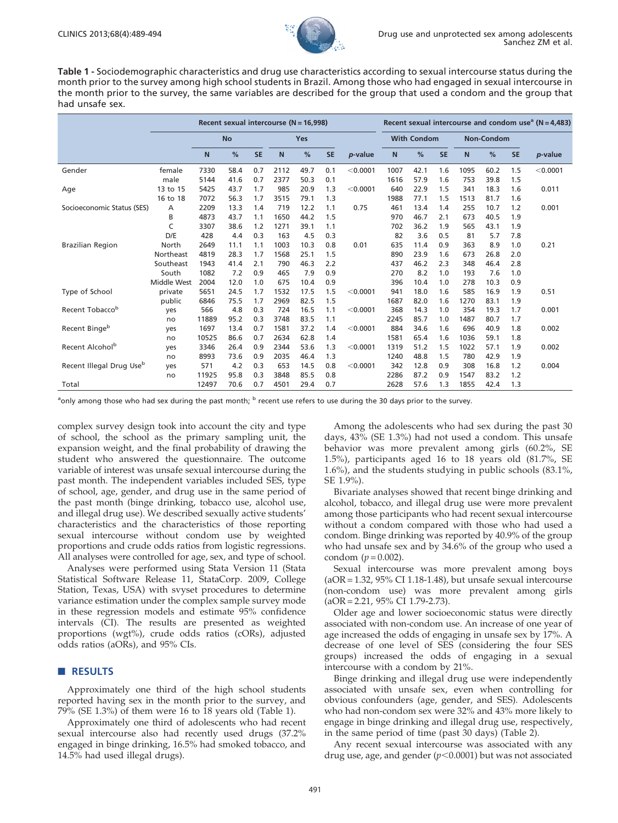

<span id="page-2-0"></span>Table 1 - Sociodemographic characteristics and drug use characteristics according to sexual intercourse status during the month prior to the survey among high school students in Brazil. Among those who had engaged in sexual intercourse in the month prior to the survey, the same variables are described for the group that used a condom and the group that had unsafe sex.

|                                      | Recent sexual intercourse $(N = 16,998)$ |           |      |           |      |      |           |                 | Recent sexual intercourse and condom use <sup>a</sup> ( $N = 4,483$ ) |      |           |                   |      |           |          |
|--------------------------------------|------------------------------------------|-----------|------|-----------|------|------|-----------|-----------------|-----------------------------------------------------------------------|------|-----------|-------------------|------|-----------|----------|
|                                      |                                          | <b>No</b> |      |           |      | Yes  |           |                 | <b>With Condom</b>                                                    |      |           | <b>Non-Condom</b> |      |           |          |
|                                      |                                          | N         | %    | <b>SE</b> | N    | %    | <b>SE</b> | <i>p</i> -value | N                                                                     | %    | <b>SE</b> | N                 | %    | <b>SE</b> | p-value  |
| Gender                               | female                                   | 7330      | 58.4 | 0.7       | 2112 | 49.7 | 0.1       | < 0.0001        | 1007                                                                  | 42.1 | 1.6       | 1095              | 60.2 | 1.5       | < 0.0001 |
|                                      | male                                     | 5144      | 41.6 | 0.7       | 2377 | 50.3 | 0.1       |                 | 1616                                                                  | 57.9 | 1.6       | 753               | 39.8 | 1.5       |          |
| Age                                  | 13 to 15                                 | 5425      | 43.7 | 1.7       | 985  | 20.9 | 1.3       | < 0.0001        | 640                                                                   | 22.9 | 1.5       | 341               | 18.3 | 1.6       | 0.011    |
|                                      | 16 to 18                                 | 7072      | 56.3 | 1.7       | 3515 | 79.1 | 1.3       |                 | 1988                                                                  | 77.1 | 1.5       | 1513              | 81.7 | 1.6       |          |
| Socioeconomic Status (SES)           | А                                        | 2209      | 13.3 | 1.4       | 719  | 12.2 | 1.1       | 0.75            | 461                                                                   | 13.4 | 1.4       | 255               | 10.7 | 1.2       | 0.001    |
|                                      | B                                        | 4873      | 43.7 | 1.1       | 1650 | 44.2 | 1.5       |                 | 970                                                                   | 46.7 | 2.1       | 673               | 40.5 | 1.9       |          |
|                                      | C                                        | 3307      | 38.6 | 1.2       | 1271 | 39.1 | 1.1       |                 | 702                                                                   | 36.2 | 1.9       | 565               | 43.1 | 1.9       |          |
|                                      | D/E                                      | 428       | 4.4  | 0.3       | 163  | 4.5  | 0.3       |                 | 82                                                                    | 3.6  | 0.5       | 81                | 5.7  | 7.8       |          |
| <b>Brazilian Region</b>              | North                                    | 2649      | 11.1 | 1.1       | 1003 | 10.3 | 0.8       | 0.01            | 635                                                                   | 11.4 | 0.9       | 363               | 8.9  | 1.0       | 0.21     |
|                                      | Northeast                                | 4819      | 28.3 | 1.7       | 1568 | 25.1 | 1.5       |                 | 890                                                                   | 23.9 | 1.6       | 673               | 26.8 | 2.0       |          |
|                                      | Southeast                                | 1943      | 41.4 | 2.1       | 790  | 46.3 | 2.2       |                 | 437                                                                   | 46.2 | 2.3       | 348               | 46.4 | 2.8       |          |
|                                      | South                                    | 1082      | 7.2  | 0.9       | 465  | 7.9  | 0.9       |                 | 270                                                                   | 8.2  | 1.0       | 193               | 7.6  | 1.0       |          |
|                                      | Middle West                              | 2004      | 12.0 | 1.0       | 675  | 10.4 | 0.9       |                 | 396                                                                   | 10.4 | 1.0       | 278               | 10.3 | 0.9       |          |
| Type of School                       | private                                  | 5651      | 24.5 | 1.7       | 1532 | 17.5 | 1.5       | < 0.0001        | 941                                                                   | 18.0 | 1.6       | 585               | 16.9 | 1.9       | 0.51     |
|                                      | public                                   | 6846      | 75.5 | 1.7       | 2969 | 82.5 | 1.5       |                 | 1687                                                                  | 82.0 | 1.6       | 1270              | 83.1 | 1.9       |          |
| Recent Tobacco <sup>b</sup>          | yes                                      | 566       | 4.8  | 0.3       | 724  | 16.5 | 1.1       | < 0.0001        | 368                                                                   | 14.3 | 1.0       | 354               | 19.3 | 1.7       | 0.001    |
|                                      | no                                       | 11889     | 95.2 | 0.3       | 3748 | 83.5 | 1.1       |                 | 2245                                                                  | 85.7 | 1.0       | 1487              | 80.7 | 1.7       |          |
| Recent Bingeb                        | yes                                      | 1697      | 13.4 | 0.7       | 1581 | 37.2 | 1.4       | < 0.0001        | 884                                                                   | 34.6 | 1.6       | 696               | 40.9 | 1.8       | 0.002    |
|                                      | no                                       | 10525     | 86.6 | 0.7       | 2634 | 62.8 | 1.4       |                 | 1581                                                                  | 65.4 | 1.6       | 1036              | 59.1 | 1.8       |          |
| Recent Alcohol <sup>b</sup>          | yes                                      | 3346      | 26.4 | 0.9       | 2344 | 53.6 | 1.3       | < 0.0001        | 1319                                                                  | 51.2 | 1.5       | 1022              | 57.1 | 1.9       | 0.002    |
|                                      | no                                       | 8993      | 73.6 | 0.9       | 2035 | 46.4 | 1.3       |                 | 1240                                                                  | 48.8 | 1.5       | 780               | 42.9 | 1.9       |          |
| Recent Illegal Drug Use <sup>b</sup> | yes                                      | 571       | 4.2  | 0.3       | 653  | 14.5 | 0.8       | < 0.0001        | 342                                                                   | 12.8 | 0.9       | 308               | 16.8 | 1.2       | 0.004    |
|                                      | no                                       | 11925     | 95.8 | 0.3       | 3848 | 85.5 | 0.8       |                 | 2286                                                                  | 87.2 | 0.9       | 1547              | 83.2 | 1.2       |          |
| Total                                |                                          | 12497     | 70.6 | 0.7       | 4501 | 29.4 | 0.7       |                 | 2628                                                                  | 57.6 | 1.3       | 1855              | 42.4 | 1.3       |          |

<sup>a</sup>only among those who had sex during the past month; <sup>b</sup> recent use refers to use during the 30 days prior to the survey.

complex survey design took into account the city and type of school, the school as the primary sampling unit, the expansion weight, and the final probability of drawing the student who answered the questionnaire. The outcome variable of interest was unsafe sexual intercourse during the past month. The independent variables included SES, type of school, age, gender, and drug use in the same period of the past month (binge drinking, tobacco use, alcohol use, and illegal drug use). We described sexually active students' characteristics and the characteristics of those reporting sexual intercourse without condom use by weighted proportions and crude odds ratios from logistic regressions. All analyses were controlled for age, sex, and type of school.

Analyses were performed using Stata Version 11 (Stata Statistical Software Release 11, StataCorp. 2009, College Station, Texas, USA) with svyset procedures to determine variance estimation under the complex sample survey mode in these regression models and estimate 95% confidence intervals (CI). The results are presented as weighted proportions (wgt%), crude odds ratios (cORs), adjusted odds ratios (aORs), and 95% CIs.

## RESULTS

Approximately one third of the high school students reported having sex in the month prior to the survey, and 79% (SE 1.3%) of them were 16 to 18 years old (Table 1).

Approximately one third of adolescents who had recent sexual intercourse also had recently used drugs (37.2% engaged in binge drinking, 16.5% had smoked tobacco, and 14.5% had used illegal drugs).

Among the adolescents who had sex during the past 30 days, 43% (SE 1.3%) had not used a condom. This unsafe behavior was more prevalent among girls (60.2%, SE 1.5%), participants aged 16 to 18 years old (81.7%, SE 1.6%), and the students studying in public schools (83.1%, SE 1.9%).

Bivariate analyses showed that recent binge drinking and alcohol, tobacco, and illegal drug use were more prevalent among those participants who had recent sexual intercourse without a condom compared with those who had used a condom. Binge drinking was reported by 40.9% of the group who had unsafe sex and by 34.6% of the group who used a condom  $(p = 0.002)$ .

Sexual intercourse was more prevalent among boys  $(aOR = 1.32, 95\% \text{ CI } 1.18-1.48)$ , but unsafe sexual intercourse (non-condom use) was more prevalent among girls (aOR = 2.21, 95% CI 1.79-2.73).

Older age and lower socioeconomic status were directly associated with non-condom use. An increase of one year of age increased the odds of engaging in unsafe sex by 17%. A decrease of one level of SES (considering the four SES groups) increased the odds of engaging in a sexual intercourse with a condom by 21%.

Binge drinking and illegal drug use were independently associated with unsafe sex, even when controlling for obvious confounders (age, gender, and SES). Ad[olescents](#page-3-0) who had non-condom sex were 32% and 43% more likely to engage in binge drinking and illegal drug use, respectively, in the same period of time (past 30 days) (Table 2).

Any recent sexual intercourse was associated with any drug use, age, and gender ( $p<0.0001$ ) but was not associated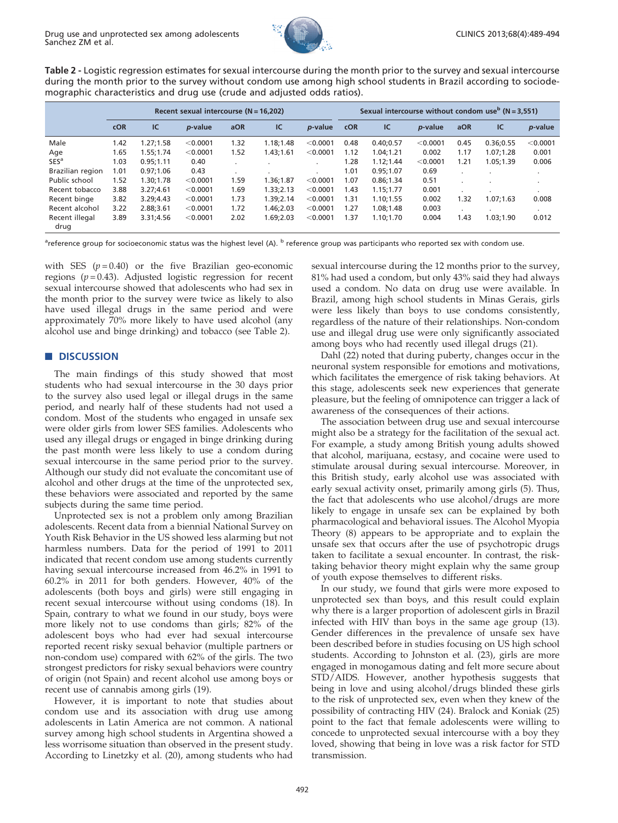

<span id="page-3-0"></span>Table 2 - Logistic regression estimates for sexual intercourse during the month prior to the survey and sexual intercourse during the month prior to the survey without condom use among high school students in Brazil according to sociodemographic characteristics and drug use (crude and adjusted odds ratios).

|                        | Recent sexual intercourse $(N = 16,202)$ |           |                 |         |           |                 |            | Sexual intercourse without condom use <sup>b</sup> ( $N = 3,551$ ) |                 |                          |           |                          |  |  |  |
|------------------------|------------------------------------------|-----------|-----------------|---------|-----------|-----------------|------------|--------------------------------------------------------------------|-----------------|--------------------------|-----------|--------------------------|--|--|--|
|                        | <b>cOR</b>                               | IC        | <i>p</i> -value | aOR     | IC        | <i>p</i> -value | <b>cOR</b> | IC                                                                 | <i>p</i> -value | aOR                      | IC        | p-value                  |  |  |  |
| Male                   | 1.42                                     | 1.27:1.58 | < 0.0001        | 1.32    | 1.18:1.48 | < 0.0001        | 0.48       | 0.40;0.57                                                          | < 0.0001        | 0.45                     | 0.36;0.55 | < 0.0001                 |  |  |  |
| Age                    | 1.65                                     | 1.55:1.74 | < 0.0001        | 1.52    | 1.43:1.61 | < 0.0001        | 1.12       | 1.04; 1.21                                                         | 0.002           | 1.17                     | 1.07:1.28 | 0.001                    |  |  |  |
| <b>SES<sup>a</sup></b> | 1.03                                     | 0.95:1.11 | 0.40            | $\cdot$ |           |                 | 1.28       | 1.12:1.44                                                          | < 0.0001        | 1.21                     | 1.05:1.39 | 0.006                    |  |  |  |
| Brazilian region       | 1.01                                     | 0.97:1.06 | 0.43            | ٠       |           |                 | 1.01       | 0.95;1.07                                                          | 0.69            | $\cdot$                  |           | $\cdot$                  |  |  |  |
| Public school          | 1.52                                     | 1.30:1.78 | < 0.0001        | 1.59    | 1.36:1.87 | < 0.0001        | 1.07       | 0.86:1.34                                                          | 0.51            |                          |           | $\cdot$                  |  |  |  |
| Recent tobacco         | 3.88                                     | 3.27:4.61 | < 0.0001        | 1.69    | 1.33:2.13 | < 0.0001        | 1.43       | 1.15:1.77                                                          | 0.001           | $\overline{a}$           |           | $\cdot$                  |  |  |  |
| Recent binge           | 3.82                                     | 3.29:4.43 | < 0.0001        | 1.73    | 1.39;2.14 | < 0.0001        | 1.31       | 1.10:1.55                                                          | 0.002           | 1.32                     | 1.07:1.63 | 0.008                    |  |  |  |
| Recent alcohol         | 3.22                                     | 2.88:3.61 | < 0.0001        | 1.72    | 1.46:2.03 | < 0.0001        | 1.27       | 1.08:1.48                                                          | 0.003           | $\overline{\phantom{a}}$ | $\cdot$   | $\overline{\phantom{a}}$ |  |  |  |
| Recent illegal<br>drug | 3.89                                     | 3.31:4.56 | < 0.0001        | 2.02    | 1.69;2.03 | < 0.0001        | 1.37       | 1.10; 1.70                                                         | 0.004           | 1.43                     | 1.03:1.90 | 0.012                    |  |  |  |

 $^{\rm a}$ reference group for socioeconomic status was the highest level (A).  $^{\rm b}$  reference group [was participants who reported sex with condom use.](#page-5-0)

with SES  $(p=0.40)$  or the five Brazilian geo-economic regions ( $p = 0.43$ ). Adjusted logistic regression for recent sexual intercourse showed that adolescents who had sex in the month prior to the survey were twice as likely to also have used illegal drugs in the same period and were approximately 70% more likely to have used alcohol (any alcohol use and binge drinking) and tobacco (see Table 2).

## **DISCUSSION**

The main findings of this study showed that most students who had sexual intercourse in the 30 days prior to the survey also used legal or illegal drugs in the same period, and nearly half of these students had not used a condom. Most of the students who engaged in unsafe sex were older girls from lower SES families. Adolescents who used any illegal drugs or engaged in binge drinking during the past month were less likely to use a condom during sexual intercourse in the same period prior to the survey. Although our study did not evaluate the concomitant use of alcohol and other drugs at the time of the unprotected sex, these behaviors were associated and reported by the same subjects during the same time period.

Unprotected sex is not a problem only among Brazilian adolescents. Recent data from a biennial National Survey on Youth Risk Behavior in the US showed less alarming but not harmless numbers. Data for the period of 1991 to 2011 indicated that recent condom use among students currently having sexual intercourse increased from 46.2% in 1991 to 60.2% i[n 2011 for both genders. However, 40% of the](#page-5-0) adolesce[nts](#page-5-0) [\(both](#page-5-0) [boys](#page-5-0) [and](#page-5-0) [girls\)](#page-5-0) [were](#page-5-0) [still](#page-5-0) [engaging](#page-5-0) [in](#page-5-0) recent s[exual intercourse without using condoms \(18\). In](#page-5-0) Spain, c[ontrary](#page-5-0) [to](#page-5-0) [what](#page-5-0) [we](#page-5-0) [found](#page-5-0) [in](#page-5-0) [our](#page-5-0) [study,](#page-5-0) [boys](#page-5-0) [were](#page-5-0) more li[kely not to use condoms than girls; 82% of the](#page-5-0) adolesce[nt](#page-5-0) [boys](#page-5-0) [who](#page-5-0) [had](#page-5-0) [ever](#page-5-0) [had](#page-5-0) [sexual](#page-5-0) [intercourse](#page-5-0) reported [recent](#page-5-0) [risky](#page-5-0) [sexual](#page-5-0) [behavior](#page-5-0) [\(multiple](#page-5-0) [partners](#page-5-0) [or](#page-5-0) non-con[dom](#page-5-0) [use\)](#page-5-0) [compared](#page-5-0) [with](#page-5-0) [62%](#page-5-0) [of](#page-5-0) [the](#page-5-0) [girl](#page-5-0)s. The two strongest predictors for risky sexual behaviors were country of origin (not Spain) and recent alcohol use among boys or recent use of cannabis among girls (19).

However, it is important to note that studies about condom use and its association with drug use among adolescents in Latin America are not [common.](#page-5-0) [A](#page-5-0) [national](#page-5-0) survey among high school students in Argentina showed a less worrisome situation than observed in the present study. According to Linetzky et al. (20), among students who had sexual i[ntercourse during the 12 months prior to the survey,](#page-5-0) 81% had [used a condom, but only 43% said they had always](#page-5-0) used a [condom. No data on drug use were available. In](#page-5-0) Brazil, a[mong high school students in Minas Gerais, girls](#page-5-0) were le[ss likely than boys to use condoms consistently,](#page-5-0) regardless of the [nature of their relationships. Non-condom](#page-5-0) use and [illegal drug use were only significantly associated](#page-5-0) among [boys who had recently used illegal drugs \(21\).](#page-5-0)

Dahl ([22\) noted that during puberty, changes occur in the](#page-5-0) neurona[l system responsible for emotions and motivations,](#page-5-0) which f[acilitates the emergence of risk taking behaviors.](#page-5-0) At this stage, adolescents seek new experiences that generate pleasure, but the feeling of omnipotence can trigger a lack of awareness of the consequences of their actions.

The association between drug use and sexual intercourse might also be a strategy for the facilitation of the sexual act. For example, a study among British young adults showed that alcohol, marijuana, ecstasy, and cocaine were used t[o](#page-5-0) stimulat[e arousal during sexual intercourse. Moreover, in](#page-5-0) this Brit[ish](#page-5-0) [study,](#page-5-0) [early](#page-5-0) [alcohol](#page-5-0) [use](#page-5-0) [was](#page-5-0) [associated](#page-5-0) [with](#page-5-0) early se[xual activity onset, primarily among girls \(5\). Thus,](#page-5-0) the fact [that adolescents who use alcohol/drugs are more](#page-5-0) likely to [engage in unsafe sex can be explained by both](#page-5-0) pharma[cological and behavioral issues. The Alcohol Myopia](#page-5-0) Theory [\(8\) appears to be appropriate and to explain the](#page-5-0) unsafe s[ex that occurs after the use of psychotropic d](#page-5-0)rugs taken to facilitate a sexual encounter. In contrast, the risk[takin](#page-5-0)g behavior theory might explain why the same group of youth expose themselves to different risks.

In our study, we found that girls were more exposed to unprote[cted sex than boys, and this result could explain](#page-5-0) why the[re is a larger proportion of adolescent girls in Brazil](#page-5-0) infected [with HIV than boys in the same age group \(13\).](#page-5-0) Gender [differences](#page-5-0) [in](#page-5-0) [the](#page-5-0) [prevalence](#page-5-0) [of](#page-5-0) [unsafe](#page-5-0) [sex](#page-5-0) [have](#page-5-0) been de[scribed before in studies focusing on US high school](#page-5-0) students[. According to Johnston et al. \(23\), girls are more](#page-5-0) engaged [in monogamous dating and felt more secure about](#page-5-0) STD/AI[DS. However, another hypothesis suggests that](#page-5-0) being in [love and using alcohol/drugs blinded these girls](#page-5-0) to the ri[sk of unprotected sex, even when they knew of the](#page-5-0) possibili[ty of contracting HIV \(24\). Bralock and Koniak \(25\)](#page-5-0) point to [the fact that](#page-5-0) female adolescents were willing to concede to unprotected sexual intercourse with a boy they loved, showing that being in love was a risk factor for STD transmission.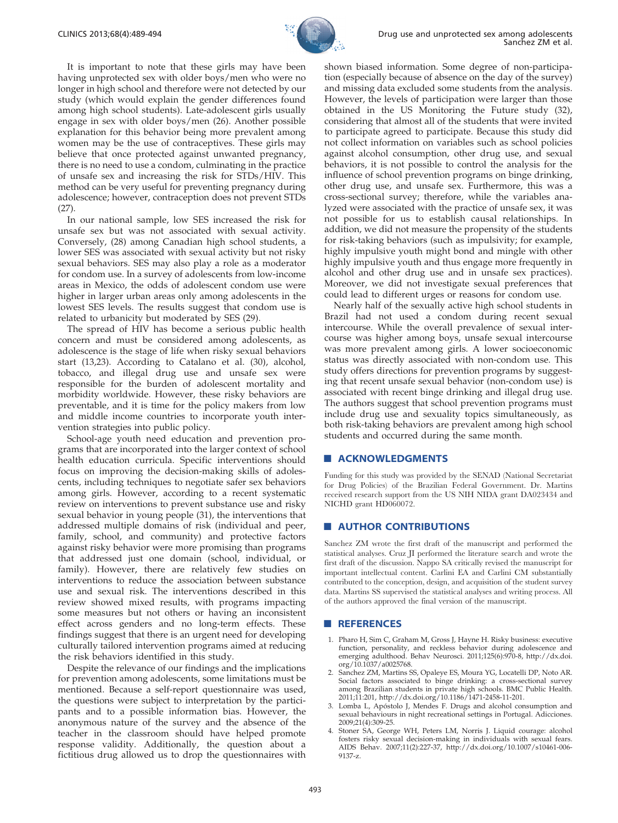

<span id="page-4-0"></span>It is important to note that these girls may have been having unprotected sex with older boys/men who were no longer in high school and therefore were not d[etected](#page-5-0) [by](#page-5-0) [our](#page-5-0) study ([which](#page-5-0) [would](#page-5-0) [explain](#page-5-0) [the](#page-5-0) [gender](#page-5-0) [differences](#page-5-0) [found](#page-5-0) among [high](#page-5-0) [school](#page-5-0) [students\).](#page-5-0) [Late-adolescent](#page-5-0) [girls](#page-5-0) [usually](#page-5-0) engage i[n](#page-5-0) [sex](#page-5-0) [with](#page-5-0) [older](#page-5-0) [boys/men](#page-5-0) [\(26\).](#page-5-0) [Another](#page-5-0) [possible](#page-5-0) explanat[ion](#page-5-0) [for](#page-5-0) [this](#page-5-0) [behavior](#page-5-0) [being](#page-5-0) [more](#page-5-0) [prevalent](#page-5-0) [among](#page-5-0) women [may be the use of contraceptives. These girls may](#page-5-0) believe [that](#page-5-0) [once](#page-5-0) [protected](#page-5-0) [against](#page-5-0) [unwanted](#page-5-0) [pregnancy,](#page-5-0) there is [no need to use a condom, culminating in the practice](#page-5-0) of unsaf[e](#page-5-0) [sex](#page-5-0) and increasing the risk for STDs/HIV. This method can be very useful for preventing pregnancy during adolescence; however, [contraception does not prevent STDs](#page-5-0)  $(27)$ .

In ou[r](#page-5-0) [national](#page-5-0) [sample,](#page-5-0) [low](#page-5-0) [SES](#page-5-0) [increased](#page-5-0) [the](#page-5-0) [risk](#page-5-0) [for](#page-5-0) unsafe [sex](#page-5-0) [but](#page-5-0) [was](#page-5-0) [not](#page-5-0) [associated](#page-5-0) [with](#page-5-0) [sexual](#page-5-0) [activity.](#page-5-0) Convers[ely,](#page-5-0) [\(28\)](#page-5-0) [among](#page-5-0) [Canadian](#page-5-0) [high](#page-5-0) [school](#page-5-0) [students,](#page-5-0) [a](#page-5-0) lower S[ES](#page-5-0) [was](#page-5-0) [associated](#page-5-0) [with](#page-5-0) [sexual](#page-5-0) [activity](#page-5-0) [but](#page-5-0) [not](#page-5-0) [risky](#page-5-0) sexual b[ehaviors.](#page-5-0) [SES](#page-5-0) [may](#page-5-0) [also](#page-5-0) [play](#page-5-0) [a](#page-5-0) [role](#page-5-0) [as](#page-5-0) [a](#page-5-0) [moderator](#page-5-0) for cond[om](#page-5-0) [use.](#page-5-0) [In](#page-5-0) [a](#page-5-0) [survey](#page-5-0) [of](#page-5-0) [adolescents](#page-5-0) [from](#page-5-0) [low-income](#page-5-0) areas in [Mexico, the odds of adolescent condom use we](#page-5-0)re higher in larger urban areas only among adolescents in the lowest SES levels. The results suggest that condom use is related to urbanicity but moderated by SES (29).

The spread [of](#page-5-0) [HIV](#page-5-0) [has](#page-5-0) [become](#page-5-0) [a](#page-5-0) [serious](#page-5-0) [public](#page-5-0) [health](#page-5-0) concern [and](#page-5-0) [must](#page-5-0) [be](#page-5-0) [considered](#page-5-0) [among](#page-5-0) [adolescents,](#page-5-0) [as](#page-5-0) adolesce[nce](#page-5-0) [is](#page-5-0) [the](#page-5-0) [stage](#page-5-0) [of](#page-5-0) [life](#page-5-0) [when](#page-5-0) [risky](#page-5-0) [sexual](#page-5-0) [behaviors](#page-5-0) start (1[3,23\).](#page-5-0) [According](#page-5-0) [to](#page-5-0) [Catalano](#page-5-0) [et](#page-5-0) [al.](#page-5-0) [\(30\),](#page-5-0) [alcohol,](#page-5-0) tobacco, [and](#page-5-0) [illegal](#page-5-0) [drug](#page-5-0) [use](#page-5-0) [and](#page-5-0) [unsafe](#page-5-0) [sex](#page-5-0) [were](#page-5-0) responsi[ble](#page-5-0) [for](#page-5-0) [the](#page-5-0) [burden](#page-5-0) [of](#page-5-0) [adolescent](#page-5-0) [mortality](#page-5-0) [and](#page-5-0) morbidi[ty](#page-5-0) [worldwide.](#page-5-0) [However,](#page-5-0) [these](#page-5-0) [risky](#page-5-0) behaviors are preventable, and it is time for the policy makers from low and middle income countries to incorporate youth intervention strategies into public policy.

School-age youth need education and prevention programs that are incorporated into the larger context of school health education curricula. Specific interventions should focus on improving the decision-making skills of adolescents, including techniques to negotiate sa[fer sex behaviors](#page-5-0) among [girls.](#page-5-0) [However,](#page-5-0) [according](#page-5-0) [to](#page-5-0) [a](#page-5-0) [recent](#page-5-0) [systematic](#page-5-0) review [on](#page-5-0) [interventions](#page-5-0) [to](#page-5-0) [prevent](#page-5-0) [substance](#page-5-0) [use](#page-5-0) [and](#page-5-0) [risky](#page-5-0) sexual b[ehavior](#page-5-0) [in](#page-5-0) [young](#page-5-0) [people](#page-5-0) [\(31\),](#page-5-0) [the](#page-5-0) [interventions](#page-5-0) [that](#page-5-0) address[ed multiple domains of risk \(individual and peer,](#page-5-0) family, [school,](#page-5-0) [and](#page-5-0) [community\)](#page-5-0) [and](#page-5-0) [protective](#page-5-0) [factors](#page-5-0) against [risky behavior were more promising than programs](#page-5-0) that ad[dressed](#page-5-0) [just](#page-5-0) [one](#page-5-0) [domain](#page-5-0) [\(school,](#page-5-0) [individual,](#page-5-0) [or](#page-5-0) family). [However, there are relatively few studies on](#page-5-0) interven[tions](#page-5-0) [to](#page-5-0) [reduce](#page-5-0) [the](#page-5-0) [association](#page-5-0) [between](#page-5-0) [substance](#page-5-0) use and [sexual risk. The interventions described in this](#page-5-0) review [showed](#page-5-0) [mixed](#page-5-0) [results,](#page-5-0) [with](#page-5-0) [programs](#page-5-0) [impacting](#page-5-0) some m[easures but not others or having an inconsistent](#page-5-0) effect a[cross](#page-5-0) [genders](#page-5-0) [and](#page-5-0) [no](#page-5-0) [long-term](#page-5-0) [effects](#page-5-0). These findings suggest that there is an urgent need for developing culturally tailored intervention programs aimed at reducing the risk behaviors identified in this study.

Despite the relevance of our findings and the implications for prevention among adolescents, some limitations must be mentioned. Because a self-report questionnaire was used, the questions were subject to interpretation by the participants and to a possible information bias. However, the anonymous nature of the survey and the absence of the teacher in the classroom should have helped promote response validity. Additionally, the question about a fictitious drug allowed us to drop the questionnaires with shown biased information. Some degree of non-participation (especially because of absence on the day of the survey) and mis[sing data excluded some students from the analysis.](#page-5-0) Howeve[r,](#page-5-0) [the](#page-5-0) [levels](#page-5-0) [of](#page-5-0) [participation](#page-5-0) [were](#page-5-0) [larger](#page-5-0) [than](#page-5-0) [those](#page-5-0) obtaine[d](#page-5-0) [in](#page-5-0) [the](#page-5-0) [US](#page-5-0) [Monitoring](#page-5-0) [the](#page-5-0) [Future](#page-5-0) [study](#page-5-0) [\(32\),](#page-5-0) consider[ing](#page-5-0) [that](#page-5-0) [almost](#page-5-0) [all](#page-5-0) [of](#page-5-0) [the](#page-5-0) [students](#page-5-0) [that](#page-5-0) [were](#page-5-0) [invited](#page-5-0) to partic[ipate](#page-5-0) [agreed](#page-5-0) [to](#page-5-0) [participate.](#page-5-0) [Because](#page-5-0) [this](#page-5-0) [study](#page-5-0) [did](#page-5-0) not coll[ect](#page-5-0) [information](#page-5-0) [on](#page-5-0) [variables](#page-5-0) [such](#page-5-0) [as](#page-5-0) [school](#page-5-0) [policies](#page-5-0) against [alcohol](#page-5-0) [consumption,](#page-5-0) [other](#page-5-0) [drug](#page-5-0) [use,](#page-5-0) [and](#page-5-0) [sexual](#page-5-0) behavio[rs,](#page-5-0) [it](#page-5-0) [is](#page-5-0) [not](#page-5-0) [possible](#page-5-0) [to](#page-5-0) [control](#page-5-0) [the](#page-5-0) [analysis](#page-5-0) [for](#page-5-0) [the](#page-5-0) influenc[e](#page-5-0) [of](#page-5-0) [school](#page-5-0) [prevention](#page-5-0) [programs](#page-5-0) [on](#page-5-0) [binge](#page-5-0) [drinking,](#page-5-0) other d[rug](#page-5-0) [use,](#page-5-0) [and](#page-5-0) [unsafe](#page-5-0) [sex.](#page-5-0) [Furthermore,](#page-5-0) [this](#page-5-0) [was](#page-5-0) [a](#page-5-0) cross-se[ctional](#page-5-0) [survey;](#page-5-0) [therefore,](#page-5-0) [while](#page-5-0) [the](#page-5-0) [variables](#page-5-0) [ana](#page-5-0)lyzed w[ere associated with the practice of unsafe sex, it was](#page-5-0) not pos[sible](#page-5-0) [for](#page-5-0) [us](#page-5-0) [to](#page-5-0) [establish](#page-5-0) [causal](#page-5-0) [relationships.](#page-5-0) [In](#page-5-0) addition[, we did not measure the propensity of the students](#page-5-0) for risk-[taking](#page-5-0) [behaviors](#page-5-0) [\(such](#page-5-0) [as](#page-5-0) [impulsivity;](#page-5-0) [for](#page-5-0) [example,](#page-5-0) highly i[mpulsive](#page-5-0) [youth](#page-5-0) [might](#page-5-0) [bond](#page-5-0) [and](#page-5-0) [mingle](#page-5-0) [with](#page-5-0) [other](#page-5-0) highly i[mpulsive](#page-5-0) [youth](#page-5-0) [and](#page-5-0) [thus](#page-5-0) [engage](#page-5-0) [more](#page-5-0) [frequently](#page-5-0) [in](#page-5-0) alcohol and other drug use and in unsafe sex practices). Moreover, we did not investigate sexual preferences that could lead to different urges or reasons for condom use.

Nearly half of the sexually active high school students in Brazil had not used a condom during recent sexual intercourse. While the overall prevalence of sexual intercourse was higher among boys, unsafe sexual intercourse was more prevalent among girls. A lower socioeconomic status was directly associated with non-condom use. This study offers directions for prevention programs by suggesting that recent unsafe sexual behavior (non-condom use) is associated with recent binge drinking and illegal drug use. The authors suggest that school prevention programs must include drug use and sexuality topics simultaneously, as both risk-taking behaviors are prevalent among high school students and occurred during the same month.

## **ACKNOWLEDGMENTS**

Funding for this study was provided by the SENAD (National Secretariat for Drug Policies) of the Brazilian Federal Government. Dr. Martins received research support from the US NIH NIDA grant DA023434 and NICHD grant HD060072.

## **AUTHOR CONTRIBUTIONS**

Sanchez ZM wrote the first draft of the manuscript and performed the statistical analyses. Cruz JI performed the literature search and wrote the first draft of the discussion. Nappo SA critically revised the manuscript for important intellectual content. Carlini EA and Carlini CM substantially contributed to the conception, design, and acquisition of the student survey data. Martins SS supervised the statistical analyses and writing process. All of the authors approved the final version of the manuscript.

#### **REFERENCES**

- 1. Pharo H, Sim C, Graham M, Gross J, Hayne H. Risky business: executive function, personality, and reckless behavior during adolescence and emerging adulthood. Behav Neurosci. 2011;125(6):970-8, http://dx.doi. org/10.1037/a0025768.
- 2. Sanchez ZM, Martins SS, Opaleye ES, Moura YG, Locatelli DP, Noto AR. Social factors associated to binge drinking: a cross-sectional survey among Brazilian students in private high schools. BMC Public Health. 2011;11:201, http://dx.doi.org/10.1186/1471-2458-11-201.
- 3. Lomba L, Apo´stolo J, Mendes F. Drugs and alcohol consumption and sexual behaviours in night recreational settings in Portugal. Adicciones. 2009;21(4):309-25.
- 4. Stoner SA, George WH, Peters LM, Norris J. Liquid courage: alcohol fosters risky sexual decision-making in individuals with sexual fears. AIDS Behav. 2007;11(2):227-37, http://dx.doi.org/10.1007/s10461-006- 9137-z.